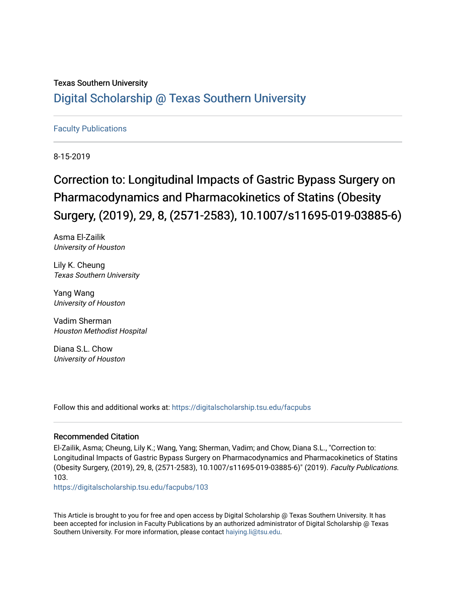### Texas Southern University [Digital Scholarship @ Texas Southern University](https://digitalscholarship.tsu.edu/)

#### [Faculty Publications](https://digitalscholarship.tsu.edu/facpubs)

8-15-2019

## Correction to: Longitudinal Impacts of Gastric Bypass Surgery on Pharmacodynamics and Pharmacokinetics of Statins (Obesity Surgery, (2019), 29, 8, (2571-2583), 10.1007/s11695-019-03885-6)

Asma El-Zailik University of Houston

Lily K. Cheung Texas Southern University

Yang Wang University of Houston

Vadim Sherman Houston Methodist Hospital

Diana S.L. Chow University of Houston

Follow this and additional works at: [https://digitalscholarship.tsu.edu/facpubs](https://digitalscholarship.tsu.edu/facpubs?utm_source=digitalscholarship.tsu.edu%2Ffacpubs%2F103&utm_medium=PDF&utm_campaign=PDFCoverPages) 

#### Recommended Citation

El-Zailik, Asma; Cheung, Lily K.; Wang, Yang; Sherman, Vadim; and Chow, Diana S.L., "Correction to: Longitudinal Impacts of Gastric Bypass Surgery on Pharmacodynamics and Pharmacokinetics of Statins (Obesity Surgery, (2019), 29, 8, (2571-2583), 10.1007/s11695-019-03885-6)" (2019). Faculty Publications. 103.

[https://digitalscholarship.tsu.edu/facpubs/103](https://digitalscholarship.tsu.edu/facpubs/103?utm_source=digitalscholarship.tsu.edu%2Ffacpubs%2F103&utm_medium=PDF&utm_campaign=PDFCoverPages) 

This Article is brought to you for free and open access by Digital Scholarship @ Texas Southern University. It has been accepted for inclusion in Faculty Publications by an authorized administrator of Digital Scholarship @ Texas Southern University. For more information, please contact [haiying.li@tsu.edu](mailto:haiying.li@tsu.edu).